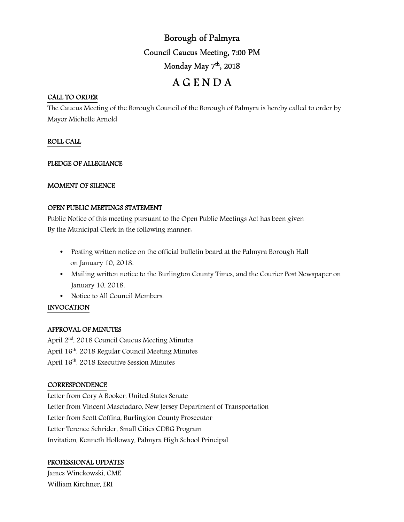# Borough of Palmyra Council Caucus Meeting, 7:00 PM Monday May 7<sup>th</sup>, 2018 A G E N D A

## CALL TO ORDER

The Caucus Meeting of the Borough Council of the Borough of Palmyra is hereby called to order by Mayor Michelle Arnold

## ROLL CALL

## PLEDGE OF ALLEGIANCE

## MOMENT OF SILENCE

#### OPEN PUBLIC MEETINGS STATEMENT

Public Notice of this meeting pursuant to the Open Public Meetings Act has been given By the Municipal Clerk in the following manner:

- Posting written notice on the official bulletin board at the Palmyra Borough Hall on January 10, 2018.
- Mailing written notice to the Burlington County Times, and the Courier Post Newspaper on January 10, 2018.
- Notice to All Council Members.

## INVOCATION

## APPROVAL OF MINUTES

April 2<sup>nd</sup>, 2018 Council Caucus Meeting Minutes April 16th, 2018 Regular Council Meeting Minutes April 16<sup>th</sup>, 2018 Executive Session Minutes

## **CORRESPONDENCE**

Letter from Cory A Booker, United States Senate Letter from Vincent Masciadaro, New Jersey Department of Transportation Letter from Scott Coffina, Burlington County Prosecutor Letter Terence Schrider, Small Cities CDBG Program Invitation, Kenneth Holloway, Palmyra High School Principal

## PROFESSIONAL UPDATES

James Winckowski, CME William Kirchner, ERI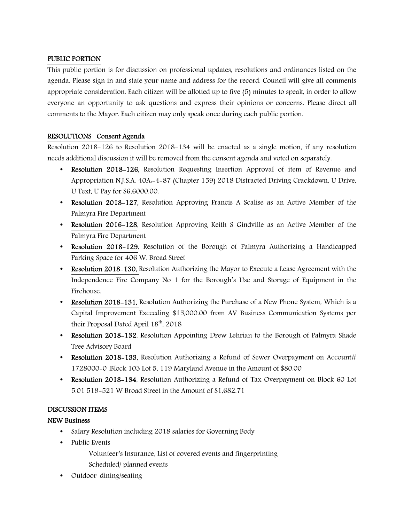## PUBLIC PORTION

This public portion is for discussion on professional updates, resolutions and ordinances listed on the agenda. Please sign in and state your name and address for the record. Council will give all comments appropriate consideration. Each citizen will be allotted up to five (5) minutes to speak, in order to allow everyone an opportunity to ask questions and express their opinions or concerns. Please direct all comments to the Mayor. Each citizen may only speak once during each public portion.

## RESOLUTIONS Consent Agenda

Resolution 2018-126 to Resolution 2018-134 will be enacted as a single motion, if any resolution needs additional discussion it will be removed from the consent agenda and voted on separately.

- Resolution 2018–126, Resolution Requesting Insertion Approval of item of Revenue and Appropriation N.J.S.A. 40A:-4-87 (Chapter 159) 2018 Distracted Driving Crackdown, U Drive, U Text, U Pay for \$6,6000.00.
- Resolution 2018–127, Resolution Approving Francis A Scalise as an Active Member of the Palmyra Fire Department
- Resolution 2016–128, Resolution Approving Keith S Gindville as an Active Member of the Palmyra Fire Department
- Resolution 2018–129, Resolution of the Borough of Palmyra Authorizing a Handicapped Parking Space for 406 W. Broad Street
- Resolution 2018–130, Resolution Authorizing the Mayor to Execute a Lease Agreement with the Independence Fire Company No 1 for the Borough's Use and Storage of Equipment in the Firehouse.
- Resolution 2018–131, Resolution Authorizing the Purchase of a New Phone System, Which is a Capital Improvement Exceeding \$15,000.00 from AV Business Communication Systems per their Proposal Dated April 18th, 2018
- Resolution 2018–132, Resolution Appointing Drew Lehrian to the Borough of Palmyra Shade Tree Advisory Board
- Resolution 2018–133, Resolution Authorizing a Refund of Sewer Overpayment on Account# 1728000-0 ,Block 103 Lot 5, 119 Maryland Avenue in the Amount of \$80.00
- Resolution 2018–134, Resolution Authorizing a Refund of Tax Overpayment on Block 60 Lot 5.01 519-521 W Broad Street in the Amount of \$1,682.71

## DISCUSSION ITEMS

## NEW Business

- Salary Resolution including 2018 salaries for Governing Body
- Public Events
	- Volunteer's Insurance, List of covered events and fingerprinting Scheduled/ planned events
- Outdoor dining/seating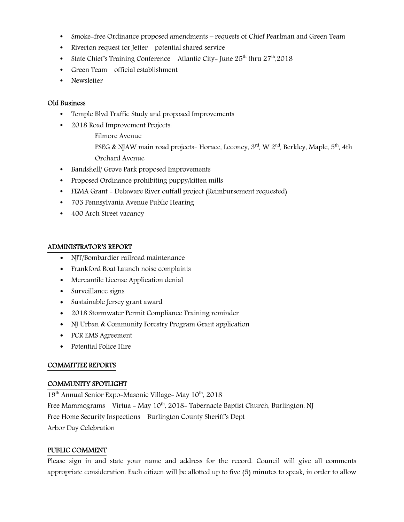- Smoke-free Ordinance proposed amendments requests of Chief Pearlman and Green Team
- Riverton request for Jetter potential shared service
- State Chief's Training Conference Atlantic City- June  $25^{th}$  thru  $27^{th}$ , 2018
- Green Team official establishment
- Newsletter

#### Old Business

- Temple Blvd Traffic Study and proposed Improvements
- 2018 Road Improvement Projects.
	- Filmore Avenue

PSEG & NJAW main road projects- Horace, Leconey,  $3<sup>rd</sup>$ , W  $2<sup>nd</sup>$ , Berkley, Maple,  $5<sup>th</sup>$ , 4th Orchard Avenue

- Bandshell/ Grove Park proposed Improvements
- Proposed Ordinance prohibiting puppy/kitten mills
- FEMA Grant Delaware River outfall project (Reimbursement requested)
- 703 Pennsylvania Avenue Public Hearing
- 400 Arch Street vacancy

## ADMINISTRATOR'S REPORT

- NJT/Bombardier railroad maintenance
- Frankford Boat Launch noise complaints
- Mercantile License Application denial
- Surveillance signs
- Sustainable Jersey grant award
- 2018 Stormwater Permit Compliance Training reminder
- NJ Urban & Community Forestry Program Grant application
- PCR EMS Agreement
- Potential Police Hire

## COMMITTEE REPORTS

## COMMUNITY SPOTLIGHT

 $19<sup>th</sup>$  Annual Senior Expo-Masonic Village- May  $10<sup>th</sup>$ , 2018 Free Mammograms – Virtua - May  $10^{th}$ , 2018- Tabernacle Baptist Church, Burlington, NJ Free Home Security Inspections – Burlington County Sheriff's Dept Arbor Day Celebration

## PUBLIC COMMENT

Please sign in and state your name and address for the record. Council will give all comments appropriate consideration. Each citizen will be allotted up to five (5) minutes to speak, in order to allow